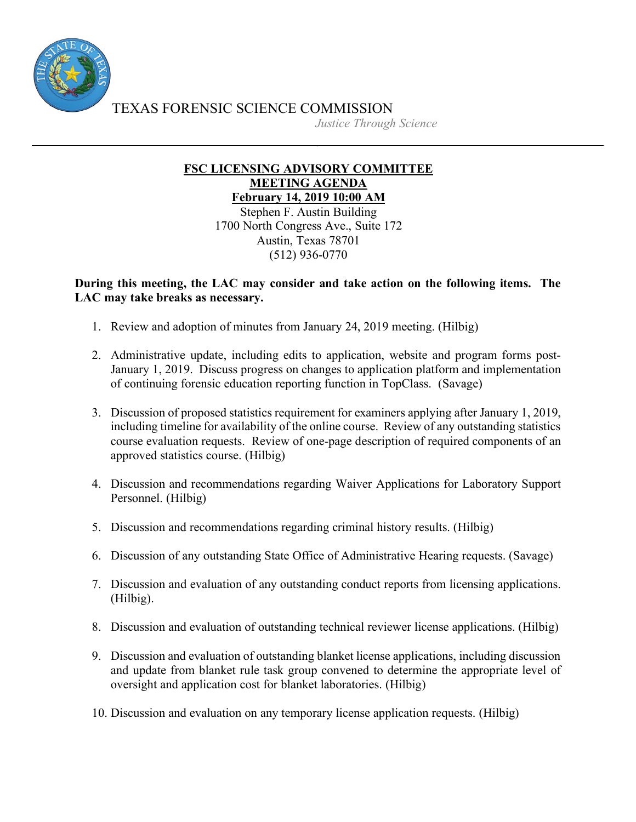

TEXAS FORENSIC SCIENCE COMMISSION

*Justice Through Science*

## **FSC LICENSING ADVISORY COMMITTEE MEETING AGENDA February 14, 2019 10:00 AM**

Stephen F. Austin Building 1700 North Congress Ave., Suite 172 Austin, Texas 78701 (512) 936-0770

## **During this meeting, the LAC may consider and take action on the following items. The LAC may take breaks as necessary.**

- 1. Review and adoption of minutes from January 24, 2019 meeting. (Hilbig)
- 2. Administrative update, including edits to application, website and program forms post-January 1, 2019. Discuss progress on changes to application platform and implementation of continuing forensic education reporting function in TopClass. (Savage)
- 3. Discussion of proposed statistics requirement for examiners applying after January 1, 2019, including timeline for availability of the online course. Review of any outstanding statistics course evaluation requests. Review of one-page description of required components of an approved statistics course. (Hilbig)
- 4. Discussion and recommendations regarding Waiver Applications for Laboratory Support Personnel. (Hilbig)
- 5. Discussion and recommendations regarding criminal history results. (Hilbig)
- 6. Discussion of any outstanding State Office of Administrative Hearing requests. (Savage)
- 7. Discussion and evaluation of any outstanding conduct reports from licensing applications. (Hilbig).
- 8. Discussion and evaluation of outstanding technical reviewer license applications. (Hilbig)
- 9. Discussion and evaluation of outstanding blanket license applications, including discussion and update from blanket rule task group convened to determine the appropriate level of oversight and application cost for blanket laboratories. (Hilbig)
- 10. Discussion and evaluation on any temporary license application requests. (Hilbig)